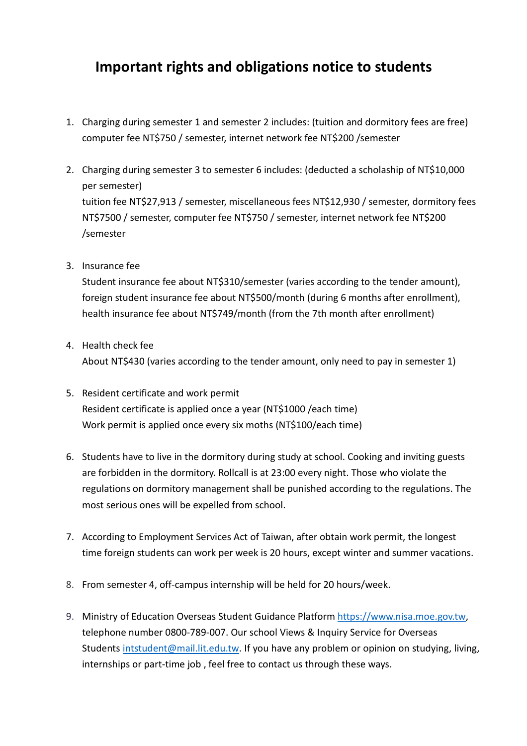## Important rights and obligations notice to students

- 1. Charging during semester 1 and semester 2 includes: (tuition and dormitory fees are free) computer fee NT\$750 / semester, internet network fee NT\$200 /semester
- 2. Charging during semester 3 to semester 6 includes: (deducted a scholaship of NT\$10,000 per semester) tuition fee NT\$27,913 / semester, miscellaneous fees NT\$12,930 / semester, dormitory fees NT\$7500 / semester, computer fee NT\$750 / semester, internet network fee NT\$200 /semester
- 3. Insurance fee

Student insurance fee about NT\$310/semester (varies according to the tender amount), foreign student insurance fee about NT\$500/month (during 6 months after enrollment), health insurance fee about NT\$749/month (from the 7th month after enrollment)

- 4. Health check fee About NT\$430 (varies according to the tender amount, only need to pay in semester 1)
- 5. Resident certificate and work permit Resident certificate is applied once a year (NT\$1000 /each time) Work permit is applied once every six moths (NT\$100/each time)
- 6. Students have to live in the dormitory during study at school. Cooking and inviting guests are forbidden in the dormitory. Rollcall is at 23:00 every night. Those who violate the regulations on dormitory management shall be punished according to the regulations. The most serious ones will be expelled from school.
- 7. According to Employment Services Act of Taiwan, after obtain work permit, the longest time foreign students can work per week is 20 hours, except winter and summer vacations.
- 8. From semester 4, off-campus internship will be held for 20 hours/week.
- 9. Ministry of Education Overseas Student Guidance Platform https://www.nisa.moe.gov.tw, telephone number 0800-789-007. Our school Views & Inquiry Service for Overseas Students intstudent@mail.lit.edu.tw. If you have any problem or opinion on studying, living, internships or part-time job , feel free to contact us through these ways.